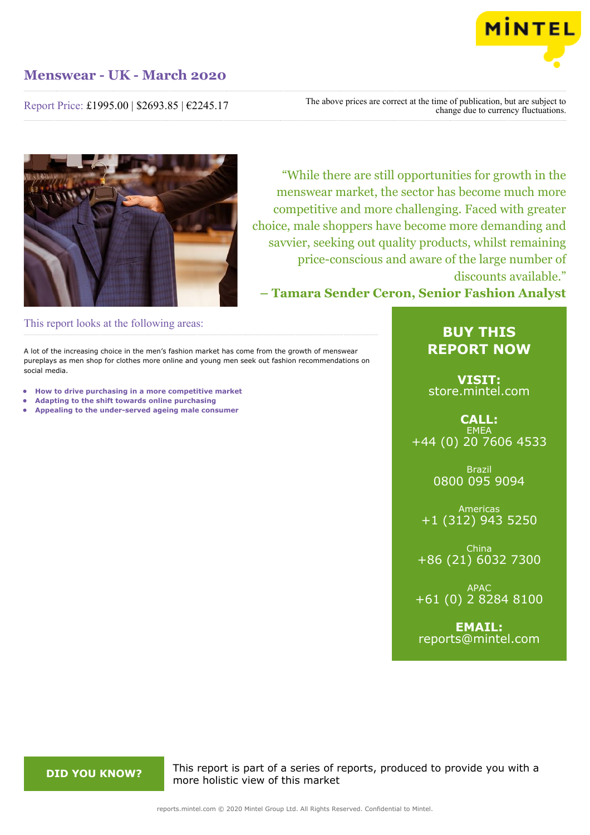

Report Price: £1995.00 | \$2693.85 | €2245.17

The above prices are correct at the time of publication, but are subject to change due to currency fluctuations.



"While there are still opportunities for growth in the menswear market, the sector has become much more competitive and more challenging. Faced with greater choice, male shoppers have become more demanding and savvier, seeking out quality products, whilst remaining price-conscious and aware of the large number of discounts available."

**– Tamara Sender Ceron, Senior Fashion Analyst**

This report looks at the following areas:

A lot of the increasing choice in the men's fashion market has come from the growth of menswear pureplays as men shop for clothes more online and young men seek out fashion recommendations on social media.

- **• How to drive purchasing in a more competitive market**
- **• Adapting to the shift towards online purchasing**
- **• Appealing to the under-served ageing male consumer**

# **BUY THIS REPORT NOW**

**VISIT:** [store.mintel.com](/reports.mintel.com//display/store/988476/)

**CALL: EMEA** +44 (0) 20 7606 4533

> Brazil 0800 095 9094

Americas +1 (312) 943 5250

China +86 (21) 6032 7300

APAC +61 (0) 2 8284 8100

**EMAIL:** [reports@mintel.com](mailto:reports@mintel.com)

**DID YOU KNOW?** This report is part of a series of reports, produced to provide you with a more holistic view of this market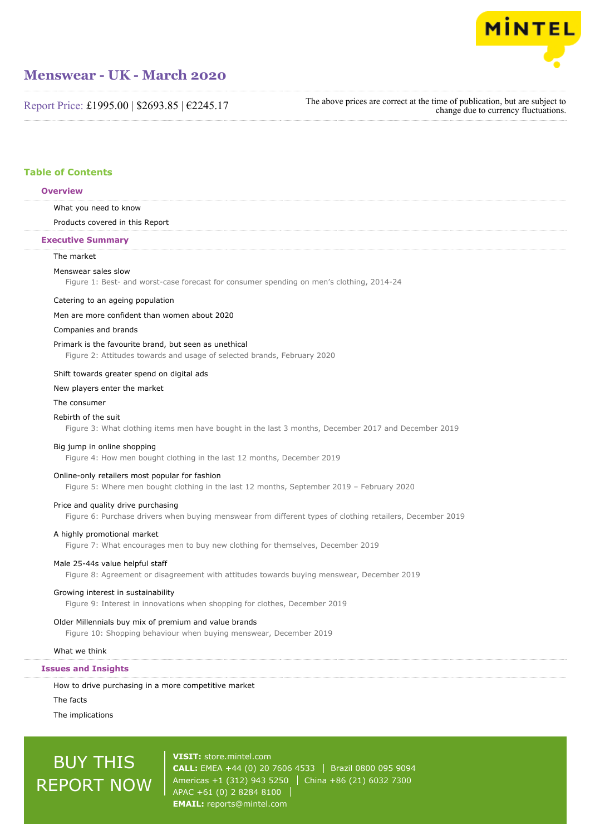

Report Price: £1995.00 | \$2693.85 | €2245.17

The above prices are correct at the time of publication, but are subject to change due to currency fluctuations.

## **Table of Contents**

#### **Overview**

What you need to know

Products covered in this Report

#### **Executive Summary**

### The market

#### Menswear sales slow

Figure 1: Best- and worst-case forecast for consumer spending on men's clothing, 2014-24

#### Catering to an ageing population

#### Men are more confident than women about 2020

#### Companies and brands

#### Primark is the favourite brand, but seen as unethical

Figure 2: Attitudes towards and usage of selected brands, February 2020

#### Shift towards greater spend on digital ads

#### New players enter the market

#### The consumer

#### Rebirth of the suit

Figure 3: What clothing items men have bought in the last 3 months, December 2017 and December 2019

#### Big jump in online shopping

Figure 4: How men bought clothing in the last 12 months, December 2019

#### Online-only retailers most popular for fashion

Figure 5: Where men bought clothing in the last 12 months, September 2019 – February 2020

#### Price and quality drive purchasing

Figure 6: Purchase drivers when buying menswear from different types of clothing retailers, December 2019

#### A highly promotional market

Figure 7: What encourages men to buy new clothing for themselves, December 2019

#### Male 25-44s value helpful staff

Figure 8: Agreement or disagreement with attitudes towards buying menswear, December 2019

#### Growing interest in sustainability

Figure 9: Interest in innovations when shopping for clothes, December 2019

#### Older Millennials buy mix of premium and value brands

Figure 10: Shopping behaviour when buying menswear, December 2019

#### What we think

#### **Issues and Insights**

How to drive purchasing in a more competitive market

### The facts

The implications

# BUY THIS REPORT NOW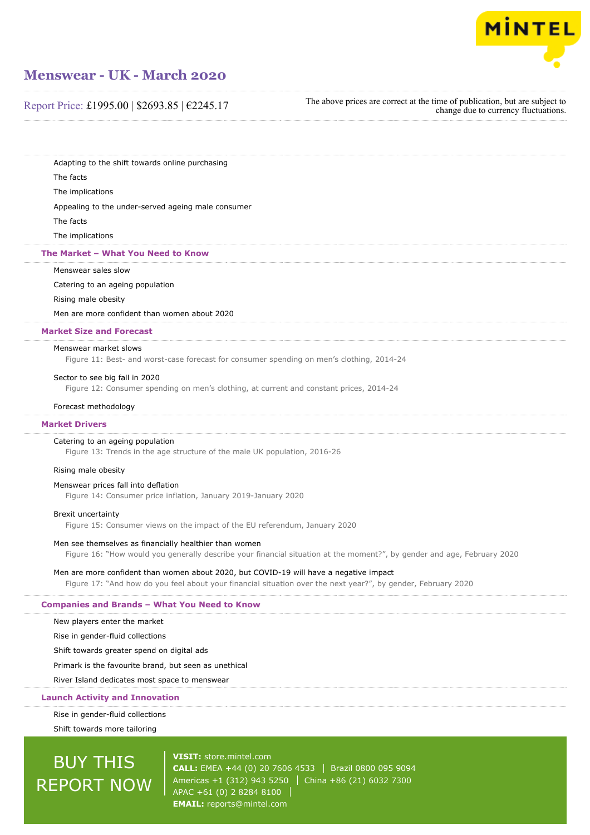

Report Price: £1995.00 | \$2693.85 | €2245.17

The above prices are correct at the time of publication, but are subject to change due to currency fluctuations.

Adapting to the shift towards online purchasing

The facts

The implications

Appealing to the under-served ageing male consumer

The facts

The implications

#### **The Market – What You Need to Know**

Menswear sales slow

Catering to an ageing population

### Rising male obesity

Men are more confident than women about 2020

#### **Market Size and Forecast**

#### Menswear market slows

Figure 11: Best- and worst-case forecast for consumer spending on men's clothing, 2014-24

#### Sector to see big fall in 2020

Figure 12: Consumer spending on men's clothing, at current and constant prices, 2014-24

#### Forecast methodology

#### **Market Drivers**

#### Catering to an ageing population

Figure 13: Trends in the age structure of the male UK population, 2016-26

#### Rising male obesity

#### Menswear prices fall into deflation

Figure 14: Consumer price inflation, January 2019-January 2020

#### Brexit uncertainty

Figure 15: Consumer views on the impact of the EU referendum, January 2020

#### Men see themselves as financially healthier than women

Figure 16: "How would you generally describe your financial situation at the moment?", by gender and age, February 2020

#### Men are more confident than women about 2020, but COVID-19 will have a negative impact

Figure 17: "And how do you feel about your financial situation over the next year?", by gender, February 2020

### **Companies and Brands – What You Need to Know**

New players enter the market

Rise in gender-fluid collections

Shift towards greater spend on digital ads

Primark is the favourite brand, but seen as unethical

River Island dedicates most space to menswear

#### **Launch Activity and Innovation**

Rise in gender-fluid collections

Shift towards more tailoring

# BUY THIS REPORT NOW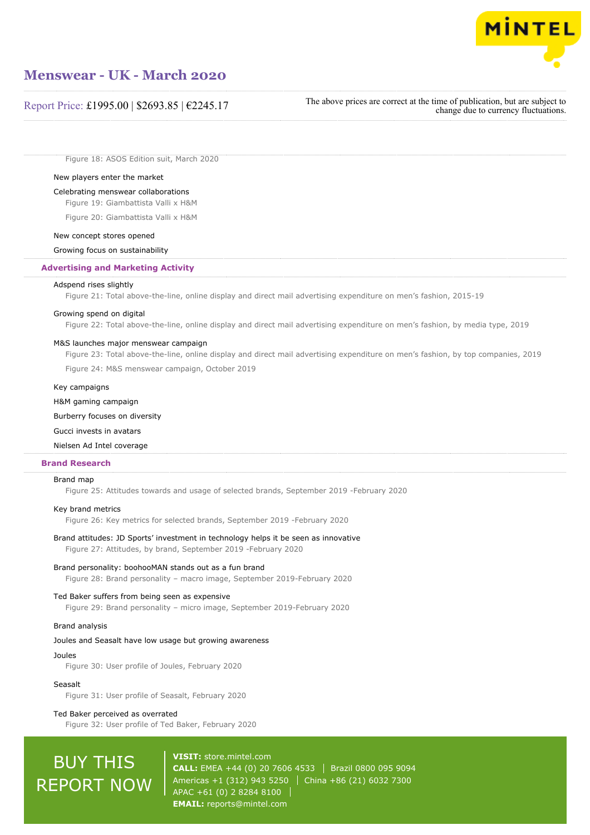

## Report Price: £1995.00 | \$2693.85 | €2245.17

The above prices are correct at the time of publication, but are subject to change due to currency fluctuations.

Figure 18: ASOS Edition suit, March 2020

#### New players enter the market

#### Celebrating menswear collaborations

Figure 19: Giambattista Valli x H&M

Figure 20: Giambattista Valli x H&M

#### New concept stores opened

Growing focus on sustainability

#### **Advertising and Marketing Activity**

#### Adspend rises slightly

Figure 21: Total above-the-line, online display and direct mail advertising expenditure on men's fashion, 2015-19

### Growing spend on digital

Figure 22: Total above-the-line, online display and direct mail advertising expenditure on men's fashion, by media type, 2019

#### M&S launches major menswear campaign

Figure 23: Total above-the-line, online display and direct mail advertising expenditure on men's fashion, by top companies, 2019

Figure 24: M&S menswear campaign, October 2019

#### Key campaigns

H&M gaming campaign

#### Burberry focuses on diversity

#### Gucci invests in avatars

#### Nielsen Ad Intel coverage

### **Brand Research**

#### Brand map

Figure 25: Attitudes towards and usage of selected brands, September 2019 -February 2020

#### Key brand metrics

Figure 26: Key metrics for selected brands, September 2019 -February 2020

#### Brand attitudes: JD Sports' investment in technology helps it be seen as innovative Figure 27: Attitudes, by brand, September 2019 -February 2020

#### Brand personality: boohooMAN stands out as a fun brand

Figure 28: Brand personality – macro image, September 2019-February 2020

#### Ted Baker suffers from being seen as expensive

Figure 29: Brand personality – micro image, September 2019-February 2020

## Brand analysis

#### Joules and Seasalt have low usage but growing awareness

#### Joules

Figure 30: User profile of Joules, February 2020

#### Seasalt

Figure 31: User profile of Seasalt, February 2020

#### Ted Baker perceived as overrated

Figure 32: User profile of Ted Baker, February 2020

# BUY THIS REPORT NOW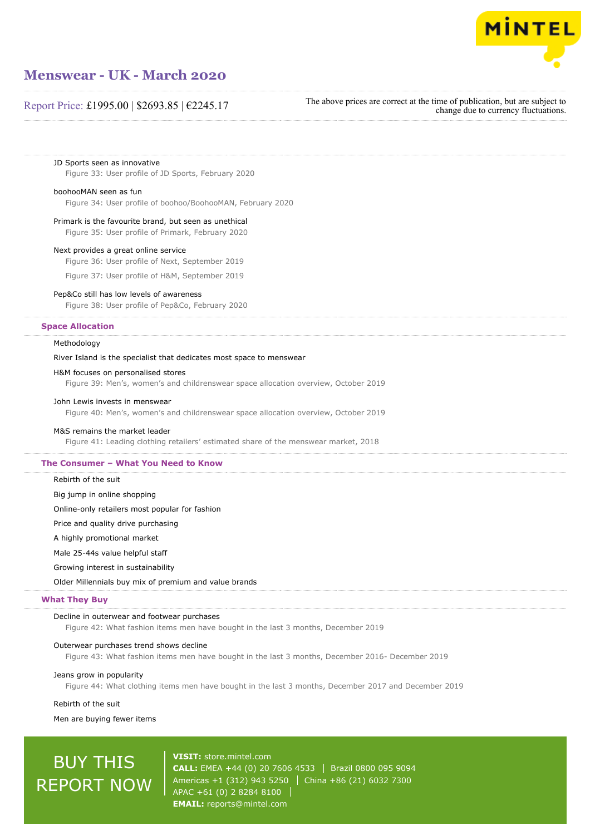

## Report Price: £1995.00 | \$2693.85 | €2245.17

The above prices are correct at the time of publication, but are subject to change due to currency fluctuations.

JD Sports seen as innovative Figure 33: User profile of JD Sports, February 2020

#### boohooMAN seen as fun

Figure 34: User profile of boohoo/BoohooMAN, February 2020

#### Primark is the favourite brand, but seen as unethical

Figure 35: User profile of Primark, February 2020

#### Next provides a great online service

Figure 36: User profile of Next, September 2019

Figure 37: User profile of H&M, September 2019

#### Pep&Co still has low levels of awareness

Figure 38: User profile of Pep&Co, February 2020

#### **Space Allocation**

Methodology

#### River Island is the specialist that dedicates most space to menswear

#### H&M focuses on personalised stores

Figure 39: Men's, women's and childrenswear space allocation overview, October 2019

#### John Lewis invests in menswear

Figure 40: Men's, women's and childrenswear space allocation overview, October 2019

#### M&S remains the market leader

Figure 41: Leading clothing retailers' estimated share of the menswear market, 2018

#### **The Consumer – What You Need to Know**

#### Rebirth of the suit

Big jump in online shopping

Online-only retailers most popular for fashion

Price and quality drive purchasing

A highly promotional market

Male 25-44s value helpful staff

Growing interest in sustainability

Older Millennials buy mix of premium and value brands

#### **What They Buy**

#### Decline in outerwear and footwear purchases

Figure 42: What fashion items men have bought in the last 3 months, December 2019

#### Outerwear purchases trend shows decline

Figure 43: What fashion items men have bought in the last 3 months, December 2016- December 2019

#### Jeans grow in popularity

Figure 44: What clothing items men have bought in the last 3 months, December 2017 and December 2019

#### Rebirth of the suit

Men are buying fewer items

# BUY THIS REPORT NOW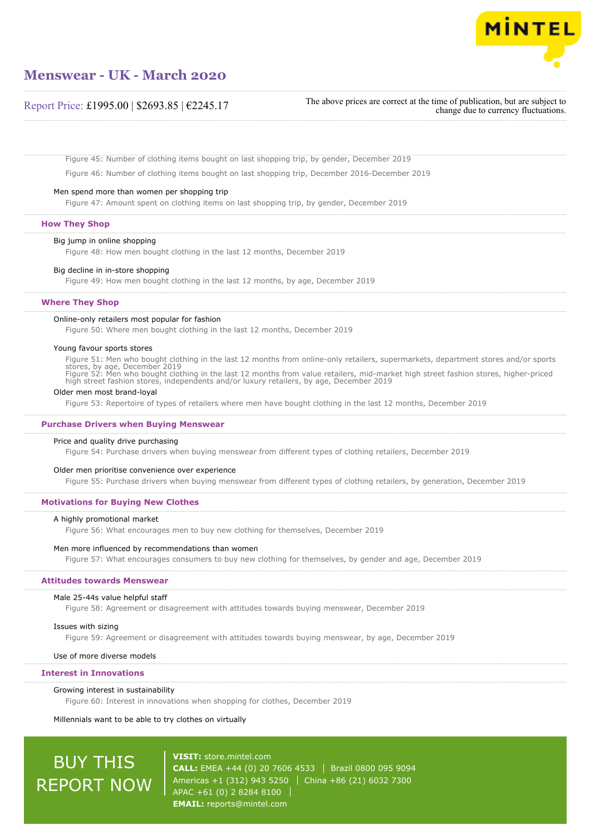

## Report Price: £1995.00 | \$2693.85 | €2245.17

The above prices are correct at the time of publication, but are subject to change due to currency fluctuations.

Figure 45: Number of clothing items bought on last shopping trip, by gender, December 2019

Figure 46: Number of clothing items bought on last shopping trip, December 2016-December 2019

#### Men spend more than women per shopping trip

Figure 47: Amount spent on clothing items on last shopping trip, by gender, December 2019

#### **How They Shop**

Big jump in online shopping

Figure 48: How men bought clothing in the last 12 months, December 2019

#### Big decline in in-store shopping

Figure 49: How men bought clothing in the last 12 months, by age, December 2019

#### **Where They Shop**

#### Online-only retailers most popular for fashion

Figure 50: Where men bought clothing in the last 12 months, December 2019

#### Young favour sports stores

Figure 51: Men who bought clothing in the last 12 months from online-only retailers, supermarkets, department stores and/or sports stores, by age, December 2019<br>Figure 52: Men who bought clothing in the last 12 months from value retailers, mid-market high street fashion stores, higher-priced<br>high street fashion stores, independents and/or luxury retai

#### Older men most brand-loyal

Figure 53: Repertoire of types of retailers where men have bought clothing in the last 12 months, December 2019

#### **Purchase Drivers when Buying Menswear**

#### Price and quality drive purchasing

Figure 54: Purchase drivers when buying menswear from different types of clothing retailers, December 2019

#### Older men prioritise convenience over experience

Figure 55: Purchase drivers when buying menswear from different types of clothing retailers, by generation, December 2019

#### **Motivations for Buying New Clothes**

#### A highly promotional market

Figure 56: What encourages men to buy new clothing for themselves, December 2019

#### Men more influenced by recommendations than women

Figure 57: What encourages consumers to buy new clothing for themselves, by gender and age, December 2019

#### **Attitudes towards Menswear**

#### Male 25-44s value helpful staff

Figure 58: Agreement or disagreement with attitudes towards buying menswear, December 2019

#### Issues with sizing

Figure 59: Agreement or disagreement with attitudes towards buying menswear, by age, December 2019

#### Use of more diverse models

#### **Interest in Innovations**

#### Growing interest in sustainability

Figure 60: Interest in innovations when shopping for clothes, December 2019

Millennials want to be able to try clothes on virtually

# BUY THIS REPORT NOW